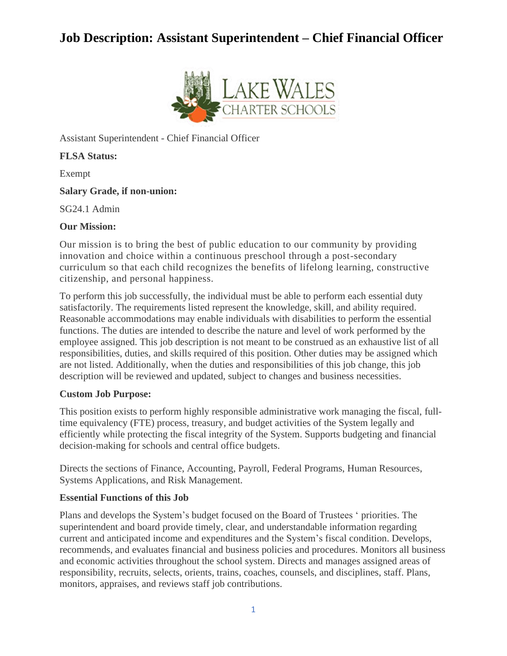# **Job Description: Assistant Superintendent – Chief Financial Officer**



Assistant Superintendent - Chief Financial Officer

**FLSA Status:**

Exempt

## **Salary Grade, if non-union:**

SG24.1 Admin

## **Our Mission:**

Our mission is to bring the best of public education to our community by providing innovation and choice within a continuous preschool through a post-secondary curriculum so that each child recognizes the benefits of lifelong learning, constructive citizenship, and personal happiness.

To perform this job successfully, the individual must be able to perform each essential duty satisfactorily. The requirements listed represent the knowledge, skill, and ability required. Reasonable accommodations may enable individuals with disabilities to perform the essential functions. The duties are intended to describe the nature and level of work performed by the employee assigned. This job description is not meant to be construed as an exhaustive list of all responsibilities, duties, and skills required of this position. Other duties may be assigned which are not listed. Additionally, when the duties and responsibilities of this job change, this job description will be reviewed and updated, subject to changes and business necessities.

## **Custom Job Purpose:**

This position exists to perform highly responsible administrative work managing the fiscal, fulltime equivalency (FTE) process, treasury, and budget activities of the System legally and efficiently while protecting the fiscal integrity of the System. Supports budgeting and financial decision-making for schools and central office budgets.

Directs the sections of Finance, Accounting, Payroll, Federal Programs, Human Resources, Systems Applications, and Risk Management.

# **Essential Functions of this Job**

Plans and develops the System's budget focused on the Board of Trustees ' priorities. The superintendent and board provide timely, clear, and understandable information regarding current and anticipated income and expenditures and the System's fiscal condition. Develops, recommends, and evaluates financial and business policies and procedures. Monitors all business and economic activities throughout the school system. Directs and manages assigned areas of responsibility, recruits, selects, orients, trains, coaches, counsels, and disciplines, staff. Plans, monitors, appraises, and reviews staff job contributions.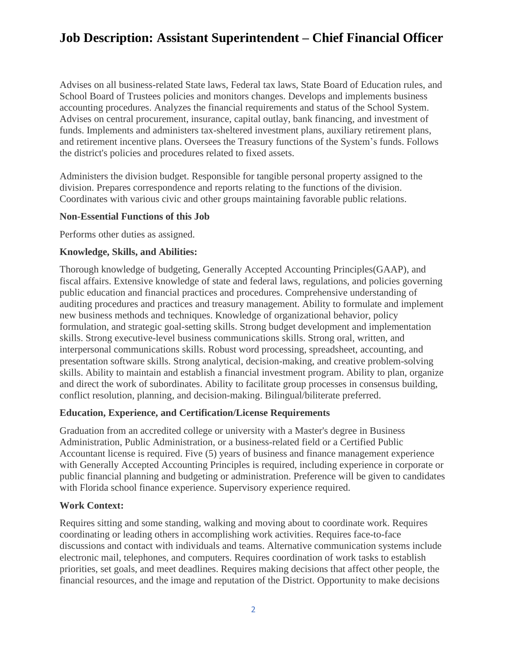# **Job Description: Assistant Superintendent – Chief Financial Officer**

Advises on all business-related State laws, Federal tax laws, State Board of Education rules, and School Board of Trustees policies and monitors changes. Develops and implements business accounting procedures. Analyzes the financial requirements and status of the School System. Advises on central procurement, insurance, capital outlay, bank financing, and investment of funds. Implements and administers tax-sheltered investment plans, auxiliary retirement plans, and retirement incentive plans. Oversees the Treasury functions of the System's funds. Follows the district's policies and procedures related to fixed assets.

Administers the division budget. Responsible for tangible personal property assigned to the division. Prepares correspondence and reports relating to the functions of the division. Coordinates with various civic and other groups maintaining favorable public relations.

#### **Non-Essential Functions of this Job**

Performs other duties as assigned.

## **Knowledge, Skills, and Abilities:**

Thorough knowledge of budgeting, Generally Accepted Accounting Principles(GAAP), and fiscal affairs. Extensive knowledge of state and federal laws, regulations, and policies governing public education and financial practices and procedures. Comprehensive understanding of auditing procedures and practices and treasury management. Ability to formulate and implement new business methods and techniques. Knowledge of organizational behavior, policy formulation, and strategic goal-setting skills. Strong budget development and implementation skills. Strong executive-level business communications skills. Strong oral, written, and interpersonal communications skills. Robust word processing, spreadsheet, accounting, and presentation software skills. Strong analytical, decision-making, and creative problem-solving skills. Ability to maintain and establish a financial investment program. Ability to plan, organize and direct the work of subordinates. Ability to facilitate group processes in consensus building, conflict resolution, planning, and decision-making. Bilingual/biliterate preferred.

#### **Education, Experience, and Certification/License Requirements**

Graduation from an accredited college or university with a Master's degree in Business Administration, Public Administration, or a business-related field or a Certified Public Accountant license is required. Five (5) years of business and finance management experience with Generally Accepted Accounting Principles is required, including experience in corporate or public financial planning and budgeting or administration. Preference will be given to candidates with Florida school finance experience. Supervisory experience required.

## **Work Context:**

Requires sitting and some standing, walking and moving about to coordinate work. Requires coordinating or leading others in accomplishing work activities. Requires face-to-face discussions and contact with individuals and teams. Alternative communication systems include electronic mail, telephones, and computers. Requires coordination of work tasks to establish priorities, set goals, and meet deadlines. Requires making decisions that affect other people, the financial resources, and the image and reputation of the District. Opportunity to make decisions